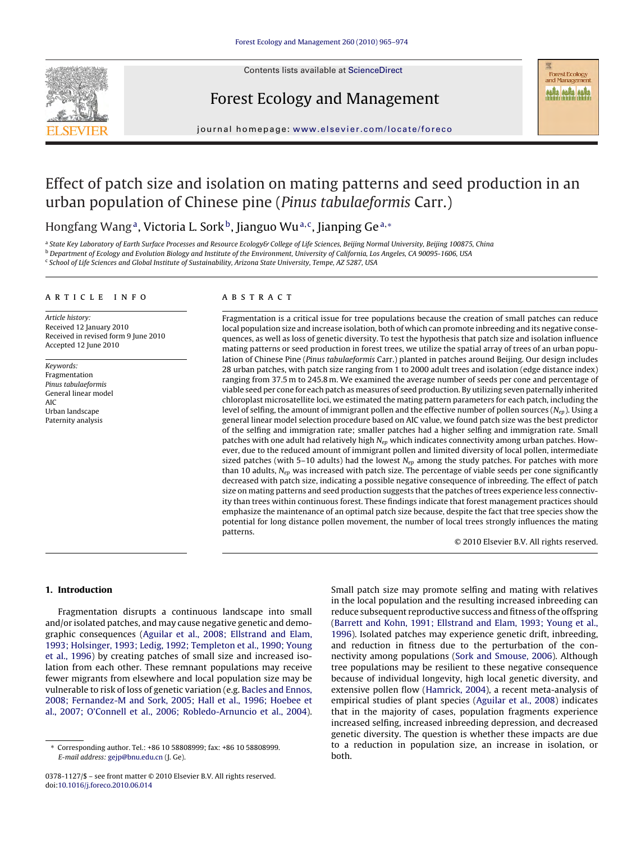

Contents lists available at [ScienceDirect](http://www.sciencedirect.com/science/journal/03781127)

## Forest Ecology and Management

**Forest Ecology** and Management **HA HA HA** 

journal homepage: [www.elsevier.com/locate/foreco](http://www.elsevier.com/locate/foreco)

# Effect of patch size and isolation on mating patterns and seed production in an urban population of Chinese pine (Pinus tabulaeformis Carr.)

## Hongfang Wang<sup>a</sup>, Victoria L. Sork<sup>b</sup>, Jianguo Wu<sup>a,c</sup>, Jianping Ge<sup>a,∗</sup>

a State Key Laboratory of Earth Surface Processes and Resource Ecology& College of Life Sciences, Beijing Normal University, Beijing 100875, China **b** Department of Ecology and Evolution Biology and Institute of the Environment, University of California, Los Angeles, CA 90095-1606, USA <sup>c</sup> School of Life Sciences and Global Institute of Sustainability, Arizona State University, Tempe, AZ 5287, USA

#### article info

Article history: Received 12 January 2010 Received in revised form 9 June 2010 Accepted 12 June 2010

Keywords: Fragmentation Pinus tabulaeformis General linear model AIC Urban landscape Paternity analysis

## ABSTRACT

Fragmentation is a critical issue for tree populations because the creation of small patches can reduce local population size and increase isolation, both of which can promote inbreeding and its negative consequences, as well as loss of genetic diversity. To test the hypothesis that patch size and isolation influence mating patterns or seed production in forest trees, we utilize the spatial array of trees of an urban population of Chinese Pine (Pinus tabulaeformis Carr.) planted in patches around Beijing. Our design includes 28 urban patches, with patch size ranging from 1 to 2000 adult trees and isolation (edge distance index) ranging from 37.5 m to 245.8 m. We examined the average number of seeds per cone and percentage of viable seed per cone for each patch as measures of seed production. By utilizing seven paternally inherited chloroplast microsatellite loci, we estimated the mating pattern parameters for each patch, including the level of selfing, the amount of immigrant pollen and the effective number of pollen sources  $(N_{en})$ . Using a general linear model selection procedure based on AIC value, we found patch size was the best predictor of the selfing and immigration rate; smaller patches had a higher selfing and immigration rate. Small patches with one adult had relatively high  $N_{ep}$  which indicates connectivity among urban patches. However, due to the reduced amount of immigrant pollen and limited diversity of local pollen, intermediate sized patches (with 5–10 adults) had the lowest  $N_{ep}$  among the study patches. For patches with more than 10 adults,  $N_{ep}$  was increased with patch size. The percentage of viable seeds per cone significantly decreased with patch size, indicating a possible negative consequence of inbreeding. The effect of patch size on mating patterns and seed production suggests that the patches of trees experience less connectivity than trees within continuous forest. These findings indicate that forest management practices should emphasize the maintenance of an optimal patch size because, despite the fact that tree species show the potential for long distance pollen movement, the number of local trees strongly influences the mating patterns.

© 2010 Elsevier B.V. All rights reserved.

## **1. Introduction**

Fragmentation disrupts a continuous landscape into small and/or isolated patches, and may cause negative genetic and demographic consequences ([Aguilar et al., 2008; Ellstrand and Elam,](#page-8-0) [1993; Holsinger, 1993; Ledig, 1992; Templeton et al., 1990; Young](#page-8-0) [et al., 1996\)](#page-8-0) by creating patches of small size and increased isolation from each other. These remnant populations may receive fewer migrants from elsewhere and local population size may be vulnerable to risk of loss of genetic variation (e.g. [Bacles and Ennos,](#page-8-0) [2008; Fernandez-M and Sork, 2005; Hall et al., 1996; Hoebee et](#page-8-0) [al., 2007; O'Connell et al., 2006; Robledo-Arnuncio et al., 2004\).](#page-8-0) Small patch size may promote selfing and mating with relatives in the local population and the resulting increased inbreeding can reduce subsequent reproductive success and fitness of the offspring [\(Barrett and Kohn, 1991; Ellstrand and Elam, 1993; Young et al.,](#page-8-0) [1996\).](#page-8-0) Isolated patches may experience genetic drift, inbreeding, and reduction in fitness due to the perturbation of the connectivity among populations [\(Sork and Smouse, 2006\).](#page-9-0) Although tree populations may be resilient to these negative consequence because of individual longevity, high local genetic diversity, and extensive pollen flow [\(Hamrick, 2004\),](#page-8-0) a recent meta-analysis of empirical studies of plant species [\(Aguilar et al., 2008\)](#page-8-0) indicates that in the majority of cases, population fragments experience increased selfing, increased inbreeding depression, and decreased genetic diversity. The question is whether these impacts are due to a reduction in population size, an increase in isolation, or both.

<sup>∗</sup> Corresponding author. Tel.: +86 10 58808999; fax: +86 10 58808999. E-mail address: [gejp@bnu.edu.cn](mailto:gejp@bnu.edu.cn) (J. Ge).

<sup>0378-1127/\$ –</sup> see front matter © 2010 Elsevier B.V. All rights reserved. doi:[10.1016/j.foreco.2010.06.014](dx.doi.org/10.1016/j.foreco.2010.06.014)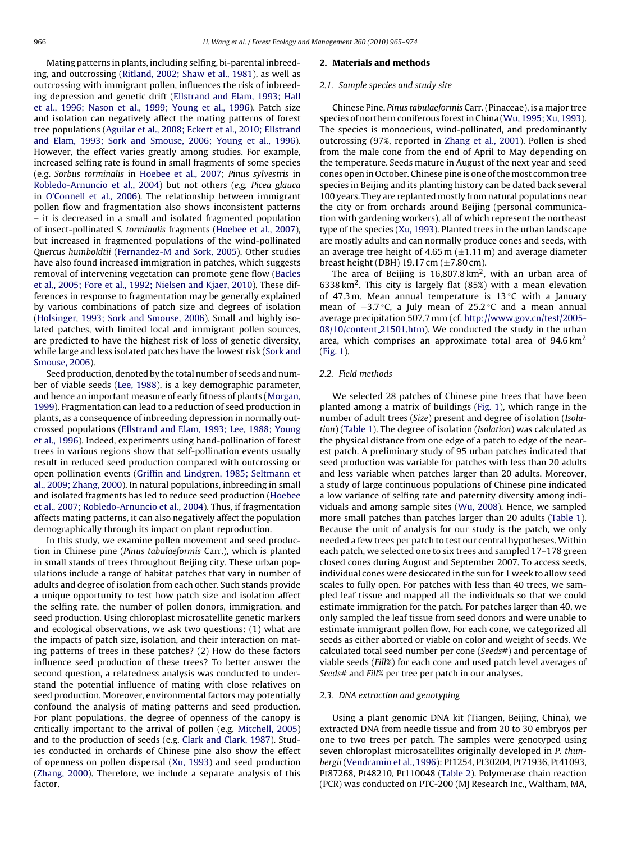Mating patterns in plants, including selfing, bi-parental inbreeding, and outcrossing [\(Ritland, 2002; Shaw et al., 1981\),](#page-9-0) as well as outcrossing with immigrant pollen, influences the risk of inbreeding depression and genetic drift ([Ellstrand and Elam, 1993; Hall](#page-8-0) [et al., 1996; Nason et al., 1999; Young et al., 1996\).](#page-8-0) Patch size and isolation can negatively affect the mating patterns of forest tree populations ([Aguilar et al., 2008; Eckert et al., 2010; Ellstrand](#page-8-0) [and Elam, 1993; Sork and Smouse, 2006; Young et al., 1996\).](#page-8-0) However, the effect varies greatly among studies. For example, increased selfing rate is found in small fragments of some species (e.g. Sorbus torminalis in [Hoebee et al., 2007;](#page-8-0) Pinus sylvestris in [Robledo-Arnuncio et al., 2004\)](#page-9-0) but not others (e.g. Picea glauca in [O'Connell et al., 2006\).](#page-9-0) The relationship between immigrant pollen flow and fragmentation also shows inconsistent patterns – it is decreased in a small and isolated fragmented population of insect-pollinated S. torminalis fragments ([Hoebee et al., 2007\),](#page-8-0) but increased in fragmented populations of the wind-pollinated Quercus humboldtii ([Fernandez-M and Sork, 2005\).](#page-8-0) Other studies have also found increased immigration in patches, which suggests removal of intervening vegetation can promote gene flow ([Bacles](#page-8-0) [et al., 2005; Fore et al., 1992; Nielsen and Kjaer, 2010\).](#page-8-0) These differences in response to fragmentation may be generally explained by various combinations of patch size and degrees of isolation ([Holsinger, 1993; Sork and Smouse, 2006\).](#page-9-0) Small and highly isolated patches, with limited local and immigrant pollen sources, are predicted to have the highest risk of loss of genetic diversity, while large and less isolated patches have the lowest risk [\(Sork and](#page-9-0) [Smouse, 2006\).](#page-9-0)

Seed production, denoted by the total number of seeds and number of viable seeds ([Lee, 1988\),](#page-9-0) is a key demographic parameter, and hence an important measure of early fitness of plants ([Morgan,](#page-9-0) [1999\).](#page-9-0) Fragmentation can lead to a reduction of seed production in plants, as a consequence of inbreeding depression in normally outcrossed populations ([Ellstrand and Elam, 1993; Lee, 1988; Young](#page-8-0) [et al., 1996\).](#page-8-0) Indeed, experiments using hand-pollination of forest trees in various regions show that self-pollination events usually result in reduced seed production compared with outcrossing or open pollination events [\(Griffin and Lindgren, 1985; Seltmann et](#page-8-0) [al., 2009; Zhang, 2000\).](#page-8-0) In natural populations, inbreeding in small and isolated fragments has led to reduce seed production ([Hoebee](#page-8-0) [et al., 2007; Robledo-Arnuncio et al., 2004\).](#page-8-0) Thus, if fragmentation affects mating patterns, it can also negatively affect the population demographically through its impact on plant reproduction.

In this study, we examine pollen movement and seed production in Chinese pine (Pinus tabulaeformis Carr.), which is planted in small stands of trees throughout Beijing city. These urban populations include a range of habitat patches that vary in number of adults and degree of isolation from each other. Such stands provide a unique opportunity to test how patch size and isolation affect the selfing rate, the number of pollen donors, immigration, and seed production. Using chloroplast microsatellite genetic markers and ecological observations, we ask two questions: (1) what are the impacts of patch size, isolation, and their interaction on mating patterns of trees in these patches? (2) How do these factors influence seed production of these trees? To better answer the second question, a relatedness analysis was conducted to understand the potential influence of mating with close relatives on seed production. Moreover, environmental factors may potentially confound the analysis of mating patterns and seed production. For plant populations, the degree of openness of the canopy is critically important to the arrival of pollen (e.g. [Mitchell, 2005\)](#page-9-0) and to the production of seeds (e.g. [Clark and Clark, 1987\).](#page-8-0) Studies conducted in orchards of Chinese pine also show the effect of openness on pollen dispersal [\(Xu, 1993\)](#page-9-0) and seed production ([Zhang, 2000\).](#page-9-0) Therefore, we include a separate analysis of this factor.

#### **2. Materials and methods**

#### 2.1. Sample species and study site

Chinese Pine, Pinus tabulaeformis Carr. (Pinaceae), is a major tree species of northern coniferous forest in China ([Wu, 1995; Xu, 1993\).](#page-9-0) The species is monoecious, wind-pollinated, and predominantly outcrossing (97%, reported in [Zhang et al., 2001\).](#page-9-0) Pollen is shed from the male cone from the end of April to May depending on the temperature. Seeds mature in August of the next year and seed cones open in October. Chinese pine is one of the most common tree species in Beijing and its planting history can be dated back several 100 years. They are replanted mostly from natural populations near the city or from orchards around Beijing (personal communication with gardening workers), all of which represent the northeast type of the species ([Xu, 1993\).](#page-9-0) Planted trees in the urban landscape are mostly adults and can normally produce cones and seeds, with an average tree height of 4.65 m  $(\pm 1.11 \text{ m})$  and average diameter breast height (DBH) 19.17 cm  $(\pm 7.80 \text{ cm})$ .

The area of Beijing is  $16,807.8 \text{ km}^2$ , with an urban area of 6338 km<sup>2</sup>. This city is largely flat  $(85%)$  with a mean elevation of 47.3 m. Mean annual temperature is 13 $\degree$ C with a January mean of −3.7 °C, a July mean of 25.2 °C and a mean annual average precipitation 507.7 mm (cf. [http://www.gov.cn/test/2005-](http://www.gov.cn/test/2005-08/10/content_21501.htm) 08/10/content 21501.htm). We conducted the study in the urban area, which comprises an approximate total area of  $94.6 \mathrm{km^2}$ [\(Fig. 1\).](#page-2-0)

### 2.2. Field methods

We selected 28 patches of Chinese pine trees that have been planted among a matrix of buildings [\(Fig. 1\),](#page-2-0) which range in the number of adult trees (Size) present and degree of isolation (Isolation) [\(Table 1\).](#page-3-0) The degree of isolation (Isolation) was calculated as the physical distance from one edge of a patch to edge of the nearest patch. A preliminary study of 95 urban patches indicated that seed production was variable for patches with less than 20 adults and less variable when patches larger than 20 adults. Moreover, a study of large continuous populations of Chinese pine indicated a low variance of selfing rate and paternity diversity among individuals and among sample sites ([Wu, 2008\).](#page-9-0) Hence, we sampled more small patches than patches larger than 20 adults ([Table 1\).](#page-3-0) Because the unit of analysis for our study is the patch, we only needed a few trees per patch to test our central hypotheses. Within each patch, we selected one to six trees and sampled 17–178 green closed cones during August and September 2007. To access seeds, individual cones were desiccated in the sun for 1 week to allow seed scales to fully open. For patches with less than 40 trees, we sampled leaf tissue and mapped all the individuals so that we could estimate immigration for the patch. For patches larger than 40, we only sampled the leaf tissue from seed donors and were unable to estimate immigrant pollen flow. For each cone, we categorized all seeds as either aborted or viable on color and weight of seeds. We calculated total seed number per cone (Seeds#) and percentage of viable seeds (Fill%) for each cone and used patch level averages of Seeds# and Fill% per tree per patch in our analyses.

#### 2.3. DNA extraction and genotyping

Using a plant genomic DNA kit (Tiangen, Beijing, China), we extracted DNA from needle tissue and from 20 to 30 embryos per one to two trees per patch. The samples were genotyped using seven chloroplast microsatellites originally developed in P. thunbergii([Vendramin et al., 1996\):](#page-9-0) Pt1254, Pt30204, Pt71936, Pt41093, Pt87268, Pt48210, Pt110048 [\(Table 2\).](#page-3-0) Polymerase chain reaction (PCR) was conducted on PTC-200 (MJ Research Inc., Waltham, MA,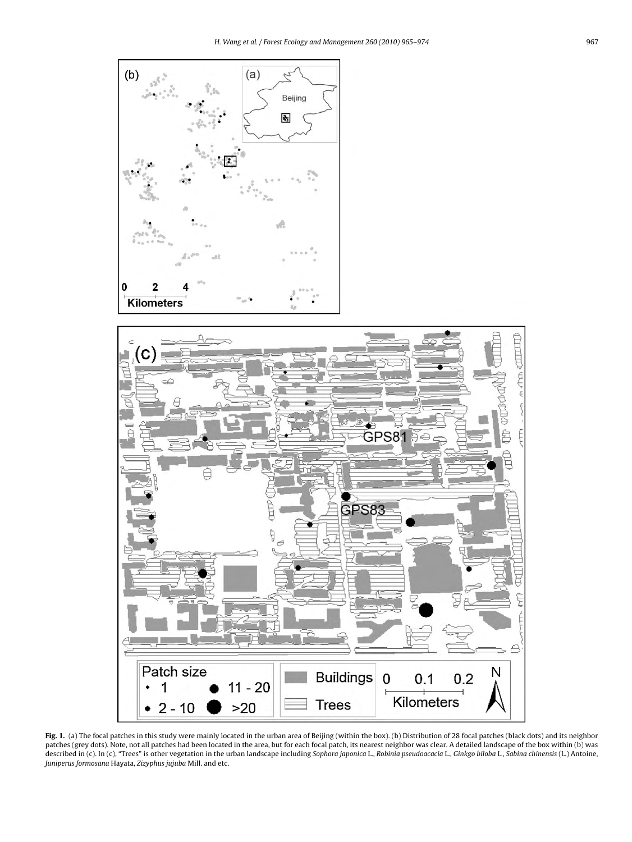<span id="page-2-0"></span>

**Fig. 1.** (a) The focal patches in this study were mainly located in the urban area of Beijing (within the box). (b) Distribution of 28 focal patches (black dots) and its neighbor patches (grey dots). Note, not all patches had been located in the area, but for each focal patch, its nearest neighbor was clear. A detailed landscape of the box within (b) was described in (c). In (c), "Trees" is other vegetation in the urban landscape including Sophora japonica L., Robinia pseudoacacia L., Ginkgo biloba L., Sabina chinensis (L.) Antoine, Juniperus formosana Hayata, Zizyphus jujuba Mill. and etc.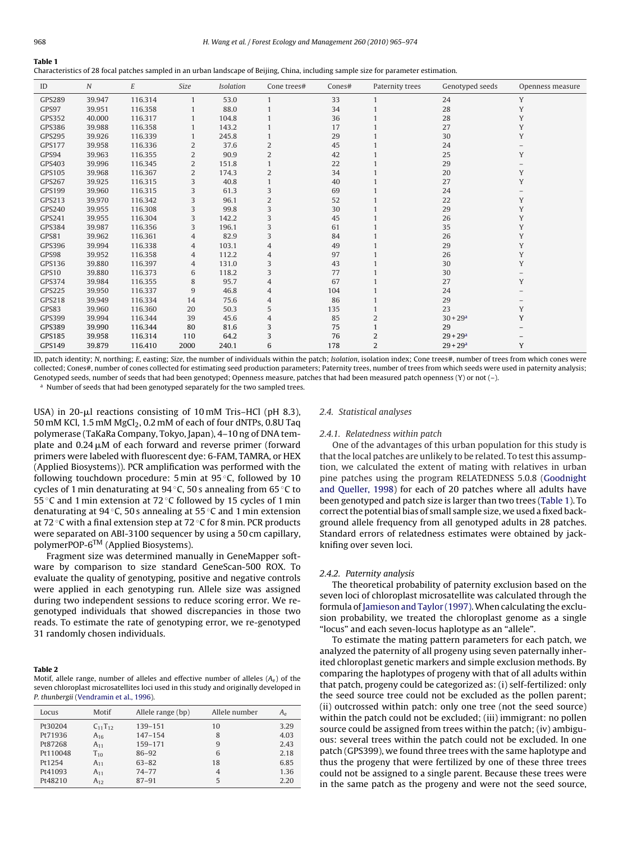<span id="page-3-0"></span>

| Characteristics of 28 focal patches sampled in an urban landscape of Beijing, China, including sample size for parameter estimation. |  |  |  |
|--------------------------------------------------------------------------------------------------------------------------------------|--|--|--|
|--------------------------------------------------------------------------------------------------------------------------------------|--|--|--|

| ID            | $\cal N$ | $\cal E$ | Size           | Isolation | Cone trees#    | Cones# | Paternity trees | Genotyped seeds        | Openness measure |
|---------------|----------|----------|----------------|-----------|----------------|--------|-----------------|------------------------|------------------|
| <b>GPS289</b> | 39.947   | 116.314  | 1              | 53.0      |                | 33     |                 | 24                     | Y                |
| GPS97         | 39.951   | 116.358  |                | 88.0      |                | 34     |                 | 28                     | Y                |
| GPS352        | 40.000   | 116.317  |                | 104.8     |                | 36     |                 | 28                     | Y                |
| GPS386        | 39.988   | 116.358  |                | 143.2     |                | 17     |                 | 27                     | Y                |
| GPS295        | 39.926   | 116.339  |                | 245.8     |                | 29     |                 | 30                     | Y                |
| <b>GPS177</b> | 39.958   | 116.336  | $\overline{2}$ | 37.6      | $\overline{2}$ | 45     |                 | 24                     |                  |
| GPS94         | 39.963   | 116.355  | $\overline{2}$ | 90.9      | 2              | 42     |                 | 25                     | Y                |
| GPS403        | 39.996   | 116.345  | $\overline{2}$ | 151.8     |                | 22     |                 | 29                     |                  |
| GPS105        | 39.968   | 116.367  | $\overline{2}$ | 174.3     | 2              | 34     |                 | 20                     | Y                |
| <b>GPS267</b> | 39.925   | 116.315  | 3              | 40.8      |                | 40     |                 | 27                     | Y                |
| GPS199        | 39.960   | 116.315  | 3              | 61.3      | 3              | 69     |                 | 24                     |                  |
| GPS213        | 39.970   | 116.342  | 3              | 96.1      | 2              | 52     |                 | 22                     | Y                |
| GPS240        | 39.955   | 116.308  | 3              | 99.8      | 3              | 30     |                 | 29                     | Y                |
| GPS241        | 39.955   | 116.304  | 3              | 142.2     | 3              | 45     |                 | 26                     | Y                |
| GPS384        | 39.987   | 116.356  | 3              | 196.1     | 3              | 61     |                 | 35                     | Y                |
| GPS81         | 39.962   | 116.361  | $\overline{4}$ | 82.9      | 3              | 84     |                 | 26                     | Y                |
| GPS396        | 39.994   | 116.338  | $\overline{4}$ | 103.1     | 4              | 49     |                 | 29                     | Y                |
| GPS98         | 39.952   | 116.358  | $\overline{4}$ | 112.2     | 4              | 97     |                 | 26                     | Y                |
| GPS136        | 39.880   | 116.397  | $\overline{4}$ | 131.0     | 3              | 43     |                 | 30                     | Y                |
| GPS10         | 39.880   | 116.373  | 6              | 118.2     | 3              | 77     |                 | 30                     |                  |
| GPS374        | 39.984   | 116.355  | 8              | 95.7      | 4              | 67     |                 | 27                     | Y                |
| GPS225        | 39.950   | 116.337  | 9              | 46.8      | 4              | 104    |                 | 24                     |                  |
| GPS218        | 39.949   | 116.334  | 14             | 75.6      | 4              | 86     |                 | 29                     |                  |
| GPS83         | 39.960   | 116.360  | 20             | 50.3      | 5              | 135    |                 | 23                     | Y                |
| GPS399        | 39.994   | 116.344  | 39             | 45.6      | 4              | 85     | $\overline{2}$  | $30 + 29a$             | Y                |
| <b>GPS389</b> | 39.990   | 116.344  | 80             | 81.6      | 3              | 75     |                 | 29                     |                  |
| GPS185        | 39.958   | 116.314  | 110            | 64.2      | 3              | 76     | 2               | $29 + 29$ <sup>a</sup> |                  |
| GPS149        | 39.879   | 116.410  | 2000           | 240.1     | 6              | 178    | $\overline{2}$  | $29 + 29$ <sup>a</sup> | Y                |

ID, patch identity; N, northing; E, easting; Size, the number of individuals within the patch; Isolation, isolation index; Cone trees#, number of trees from which cones were collected; Cones#, number of cones collected for estimating seed production parameters; Paternity trees, number of trees from which seeds were used in paternity analysis; Genotyped seeds, number of seeds that had been genotyped; Openness measure, patches that had been measured patch openness (Y) or not (–).

<sup>a</sup> Number of seeds that had been genotyped separately for the two sampled trees.

USA) in 20-µl reactions consisting of 10 mM Tris–HCl (pH 8.3), 50 mM KCl, 1.5 mM MgCl<sub>2</sub>, 0.2 mM of each of four dNTPs, 0.8U Taq polymerase (TaKaRa Company, Tokyo, Japan), 4–10 ng of DNA template and 0.24  $\upmu$ M of each forward and reverse primer (forward primers were labeled with fluorescent dye: 6-FAM, TAMRA, or HEX (Applied Biosystems)). PCR amplification was performed with the following touchdown procedure: 5 min at 95 ◦C, followed by 10 cycles of 1 min denaturating at 94 ◦C, 50 s annealing from 65 ◦C to 55 ◦C and 1 min extension at 72 ◦C followed by 15 cycles of 1 min denaturating at 94 ◦C, 50 s annealing at 55 ◦C and 1 min extension at 72 ◦C with a final extension step at 72 ◦C for 8 min. PCR products were separated on ABI-3100 sequencer by using a 50 cm capillary, polymerPOP-6TM (Applied Biosystems).

Fragment size was determined manually in GeneMapper software by comparison to size standard GeneScan-500 ROX. To evaluate the quality of genotyping, positive and negative controls were applied in each genotyping run. Allele size was assigned during two independent sessions to reduce scoring error. We regenotyped individuals that showed discrepancies in those two reads. To estimate the rate of genotyping error, we re-genotyped 31 randomly chosen individuals.

## **Table 2**

Motif, allele range, number of alleles and effective number of alleles  $(A_e)$  of the seven chloroplast microsatellites loci used in this study and originally developed in P. thunbergii [\(Vendramin et al., 1996\).](#page-9-0)

| Locus    | Motif          | Allele range (bp) | Allele number | Aρ   |
|----------|----------------|-------------------|---------------|------|
| Pt30204  | $C_{11}T_{12}$ | $139 - 151$       | 10            | 3.29 |
| Pt71936  | $A_{16}$       | $147 - 154$       | 8             | 4.03 |
| Pt87268  | $A_{11}$       | 159-171           | 9             | 2.43 |
| Pt110048 | $T_{10}$       | $86 - 92$         | 6             | 2.18 |
| Pt1254   | $A_{11}$       | $63 - 82$         | 18            | 6.85 |
| Pt41093  | $A_{11}$       | $74 - 77$         | 4             | 1.36 |
| Pt48210  | $A_{12}$       | $87 - 91$         | 5             | 2.20 |

## 2.4. Statistical analyses

## 2.4.1. Relatedness within patch

One of the advantages of this urban population for this study is that the local patches are unlikely to be related. To test this assumption, we calculated the extent of mating with relatives in urban pine patches using the program RELATEDNESS 5.0.8 ([Goodnight](#page-8-0) [and Queller, 1998\)](#page-8-0) for each of 20 patches where all adults have been genotyped and patch size is larger than two trees (Table 1). To correct the potential bias of small sample size, we used a fixed background allele frequency from all genotyped adults in 28 patches. Standard errors of relatedness estimates were obtained by jackknifing over seven loci.

## 2.4.2. Paternity analysis

The theoretical probability of paternity exclusion based on the seven loci of chloroplast microsatellite was calculated through the formula of [Jamieson and Taylor \(1997\).W](#page-9-0)hen calculating the exclusion probability, we treated the chloroplast genome as a single "locus" and each seven-locus haplotype as an "allele".

To estimate the mating pattern parameters for each patch, we analyzed the paternity of all progeny using seven paternally inherited chloroplast genetic markers and simple exclusion methods. By comparing the haplotypes of progeny with that of all adults within that patch, progeny could be categorized as: (i) self-fertilized: only the seed source tree could not be excluded as the pollen parent; (ii) outcrossed within patch: only one tree (not the seed source) within the patch could not be excluded; (iii) immigrant: no pollen source could be assigned from trees within the patch; (iv) ambiguous: several trees within the patch could not be excluded. In one patch (GPS399), we found three trees with the same haplotype and thus the progeny that were fertilized by one of these three trees could not be assigned to a single parent. Because these trees were in the same patch as the progeny and were not the seed source,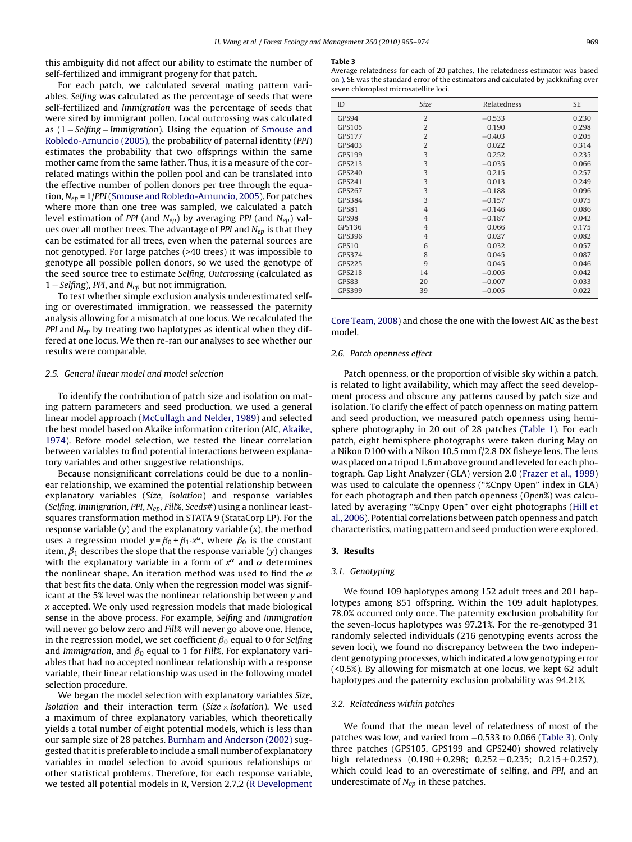this ambiguity did not affect our ability to estimate the number of self-fertilized and immigrant progeny for that patch.

For each patch, we calculated several mating pattern variables. Selfing was calculated as the percentage of seeds that were self-fertilized and Immigration was the percentage of seeds that were sired by immigrant pollen. Local outcrossing was calculated as (1 − Selfing − Immigration). Using the equation of [Smouse and](#page-9-0) [Robledo-Arnuncio \(2005\), t](#page-9-0)he probability of paternal identity (PPI) estimates the probability that two offsprings within the same mother came from the same father. Thus, it is a measure of the correlated matings within the pollen pool and can be translated into the effective number of pollen donors per tree through the equation,  $N_{en}$  = 1/PPI [\(Smouse and Robledo-Arnuncio, 2005\).](#page-9-0) For patches where more than one tree was sampled, we calculated a patch level estimation of PPI (and  $N_{ep}$ ) by averaging PPI (and  $N_{ep}$ ) values over all mother trees. The advantage of PPI and  $N_{ep}$  is that they can be estimated for all trees, even when the paternal sources are not genotyped. For large patches (>40 trees) it was impossible to genotype all possible pollen donors, so we used the genotype of the seed source tree to estimate Selfing, Outcrossing (calculated as 1 – Selfing), PPI, and  $N_{ep}$  but not immigration.

To test whether simple exclusion analysis underestimated selfing or overestimated immigration, we reassessed the paternity analysis allowing for a mismatch at one locus. We recalculated the PPI and  $N_{ep}$  by treating two haplotypes as identical when they differed at one locus. We then re-ran our analyses to see whether our results were comparable.

## 2.5. General linear model and model selection

To identify the contribution of patch size and isolation on mating pattern parameters and seed production, we used a general linear model approach ([McCullagh and Nelder, 1989\) a](#page-9-0)nd selected the best model based on Akaike information criterion (AIC, [Akaike,](#page-8-0) [1974\).](#page-8-0) Before model selection, we tested the linear correlation between variables to find potential interactions between explanatory variables and other suggestive relationships.

Because nonsignificant correlations could be due to a nonlinear relationship, we examined the potential relationship between explanatory variables (Size, Isolation) and response variables (Selfing, Immigration, PPI, N<sub>ep</sub>, Fill%, Seeds#) using a nonlinear leastsquares transformation method in STATA 9 (StataCorp LP). For the response variable  $(y)$  and the explanatory variable  $(x)$ , the method uses a regression model  $y = \beta_0 + \beta_1 \cdot x^\alpha$ , where  $\beta_0$  is the constant item,  $\beta_1$  describes the slope that the response variable (y) changes with the explanatory variable in a form of  $x^{\alpha}$  and  $\alpha$  determines the nonlinear shape. An iteration method was used to find the  $\alpha$ that best fits the data. Only when the regression model was significant at the 5% level was the nonlinear relationship between y and x accepted. We only used regression models that made biological sense in the above process. For example, Selfing and Immigration will never go below zero and Fill% will never go above one. Hence, in the regression model, we set coefficient  $\beta_0$  equal to 0 for Selfing and Immigration, and  $\beta_0$  equal to 1 for Fill%. For explanatory variables that had no accepted nonlinear relationship with a response variable, their linear relationship was used in the following model selection procedure.

We began the model selection with explanatory variables *Size*, *Isolation* and their interaction term (*Size*  $\times$  *Isolation*). We used a maximum of three explanatory variables, which theoretically yields a total number of eight potential models, which is less than our sample size of 28 patches. [Burnham and Anderson \(2002\)](#page-8-0) suggested that it is preferable to include a small number of explanatory variables in model selection to avoid spurious relationships or other statistical problems. Therefore, for each response variable, we tested all potential models in R, Version 2.7.2 [\(R Development](#page-9-0)

#### **Table 3**

Average relatedness for each of 20 patches. The relatedness estimator was based on [\). S](#page-9-0)E was the standard error of the estimators and calculated by jackknifing over seven chloroplast microsatellite loci.

| ID                | Size           | Relatedness | <b>SE</b> |
|-------------------|----------------|-------------|-----------|
| GPS94             | $\overline{2}$ | $-0.533$    | 0.230     |
| GPS105            | $\overline{2}$ | 0.190       | 0.298     |
| <b>GPS177</b>     | $\overline{2}$ | $-0.403$    | 0.205     |
| GPS403            | $\overline{2}$ | 0.022       | 0.314     |
| GPS199            | 3              | 0.252       | 0.235     |
| <b>GPS213</b>     | 3              | $-0.035$    | 0.066     |
| <b>GPS240</b>     | 3              | 0.215       | 0.257     |
| <b>GPS241</b>     | 3              | 0.013       | 0.249     |
| <b>GPS267</b>     | 3              | $-0.188$    | 0.096     |
| <b>GPS384</b>     | 3              | $-0.157$    | 0.075     |
| GPS81             | $\overline{4}$ | $-0.146$    | 0.086     |
| GPS98             | $\overline{4}$ | $-0.187$    | 0.042     |
| GPS136            | $\overline{4}$ | 0.066       | 0.175     |
| GPS396            | $\overline{4}$ | 0.027       | 0.082     |
| GPS <sub>10</sub> | 6              | 0.032       | 0.057     |
| <b>GPS374</b>     | 8              | 0.045       | 0.087     |
| <b>GPS225</b>     | 9              | 0.045       | 0.046     |
| GPS218            | 14             | $-0.005$    | 0.042     |
| GPS83             | 20             | $-0.007$    | 0.033     |
| <b>GPS399</b>     | 39             | $-0.005$    | 0.022     |

[Core Team, 2008\) a](#page-9-0)nd chose the one with the lowest AIC as the best model.

## 2.6. Patch openness effect

Patch openness, or the proportion of visible sky within a patch, is related to light availability, which may affect the seed development process and obscure any patterns caused by patch size and isolation. To clarify the effect of patch openness on mating pattern and seed production, we measured patch openness using hemisphere photography in 20 out of 28 patches [\(Table 1\).](#page-3-0) For each patch, eight hemisphere photographs were taken during May on a Nikon D100 with a Nikon 10.5 mm f/2.8 DX fisheye lens. The lens was placed on a tripod 1.6 m above ground and leveled for each photograph. Gap Light Analyzer (GLA) version 2.0 ([Frazer et al., 1999\)](#page-8-0) was used to calculate the openness ("%Cnpy Open" index in GLA) for each photograph and then patch openness (Open%) was calculated by averaging "%Cnpy Open" over eight photographs ([Hill et](#page-8-0) [al., 2006\).](#page-8-0) Potential correlations between patch openness and patch characteristics, mating pattern and seed production were explored.

## **3. Results**

## 3.1. Genotyping

We found 109 haplotypes among 152 adult trees and 201 haplotypes among 851 offspring. Within the 109 adult haplotypes, 78.0% occurred only once. The paternity exclusion probability for the seven-locus haplotypes was 97.21%. For the re-genotyped 31 randomly selected individuals (216 genotyping events across the seven loci), we found no discrepancy between the two independent genotyping processes, which indicated a low genotyping error (<0.5%). By allowing for mismatch at one locus, we kept 62 adult haplotypes and the paternity exclusion probability was 94.21%.

## 3.2. Relatedness within patches

We found that the mean level of relatedness of most of the patches was low, and varied from −0.533 to 0.066 (Table 3). Only three patches (GPS105, GPS199 and GPS240) showed relatively high relatedness  $(0.190 \pm 0.298; 0.252 \pm 0.235; 0.215 \pm 0.257)$ , which could lead to an overestimate of selfing, and PPI, and an underestimate of  $N_{ep}$  in these patches.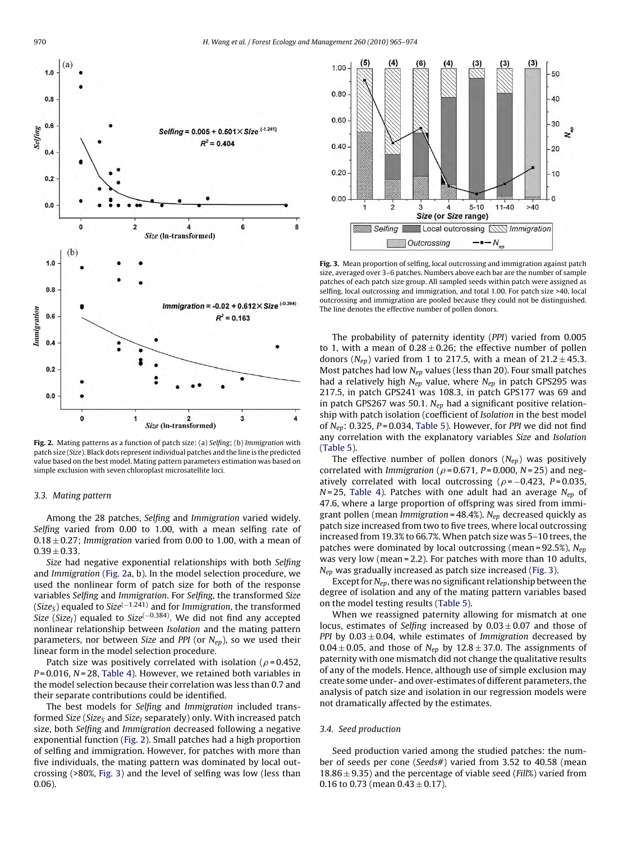

**Fig. 2.** Mating patterns as a function of patch size: (a) Selfing; (b) Immigration with patch size (Size). Black dots represent individual patches and the line is the predicted value based on the best model. Mating pattern parameters estimation was based on simple exclusion with seven chloroplast microsatellite loci.

## 3.3. Mating pattern

Among the 28 patches, Selfing and Immigration varied widely. Selfing varied from 0.00 to 1.00, with a mean selfing rate of  $0.18 \pm 0.27$ ; Immigration varied from 0.00 to 1.00, with a mean of  $0.39 + 0.33$ .

Size had negative exponential relationships with both Selfing and Immigration (Fig. 2a, b). In the model selection procedure, we used the nonlinear form of patch size for both of the response variables Selfing and Immigration. For Selfing, the transformed Size (Size<sub>S</sub>) equaled to Size<sup>(−1.241)</sup> and for *Immigration*, the transformed Size (Size<sub>I</sub>) equaled to Size<sup>(-0.384)</sup>. We did not find any accepted nonlinear relationship between Isolation and the mating pattern parameters, nor between Size and PPI (or  $N_{ep}$ ), so we used their linear form in the model selection procedure.

Patch size was positively correlated with isolation ( $\rho$ =0.452,  $P = 0.016$ ,  $N = 28$ , [Table 4\).](#page-6-0) However, we retained both variables in the model selection because their correlation was less than 0.7 and their separate contributions could be identified.

The best models for Selfing and Immigration included transformed Size (Size<sub>S</sub> and Size<sub>I</sub> separately) only. With increased patch size, both Selfing and Immigration decreased following a negative exponential function (Fig. 2). Small patches had a high proportion of selfing and immigration. However, for patches with more than five individuals, the mating pattern was dominated by local outcrossing (>80%, Fig. 3) and the level of selfing was low (less than 0.06).



**Fig. 3.** Mean proportion of selfing, local outcrossing and immigration against patch size, averaged over 3–6 patches. Numbers above each bar are the number of sample patches of each patch size group. All sampled seeds within patch were assigned as selfing, local outcrossing and immigration, and total 1.00. For patch size >40, local outcrossing and immigration are pooled because they could not be distinguished. The line denotes the effective number of pollen donors.

The probability of paternity identity (PPI) varied from 0.005 to 1, with a mean of  $0.28 \pm 0.26$ ; the effective number of pollen donors ( $N_{ep}$ ) varied from 1 to 217.5, with a mean of 21.2  $\pm$  45.3. Most patches had low  $N_{ep}$  values (less than 20). Four small patches had a relatively high  $N_{ep}$  value, where  $N_{ep}$  in patch GPS295 was 217.5, in patch GPS241 was 108.3, in patch GPS177 was 69 and in patch GPS267 was 50.1.  $N_{ep}$  had a significant positive relationship with patch isolation (coefficient of Isolation in the best model of  $N_{ep}$ : 0.325, P = 0.034, [Table 5\).](#page-6-0) However, for PPI we did not find any correlation with the explanatory variables Size and Isolation [\(Table 5\).](#page-6-0)

The effective number of pollen donors  $(N_{ep})$  was positively correlated with Immigration ( $\rho$  = 0.671, P = 0.000, N = 25) and negatively correlated with local outcrossing ( $\rho$  = -0.423, P=0.035,  $N = 25$ , [Table 4\)](#page-6-0). Patches with one adult had an average  $N_{ep}$  of 47.6, where a large proportion of offspring was sired from immigrant pollen (mean Immigration =  $48.4\%$ ). N<sub>ep</sub> decreased quickly as patch size increased from two to five trees, where local outcrossing increased from 19.3% to 66.7%. When patch size was 5–10 trees, the patches were dominated by local outcrossing (mean =  $92.5\%$ ),  $N_{ep}$ was very low (mean = 2.2). For patches with more than 10 adults,  $N_{ep}$  was gradually increased as patch size increased (Fig. 3).

Except for  $N_{ep}$ , there was no significant relationship between the degree of isolation and any of the mating pattern variables based on the model testing results [\(Table 5\).](#page-6-0)

When we reassigned paternity allowing for mismatch at one locus, estimates of Selfing increased by  $0.03 \pm 0.07$  and those of PPI by  $0.03 \pm 0.04$ , while estimates of Immigration decreased by  $0.04 \pm 0.05$ , and those of N<sub>ep</sub> by 12.8  $\pm$  37.0. The assignments of paternity with one mismatch did not change the qualitative results of any of the models. Hence, although use of simple exclusion may create some under- and over-estimates of different parameters, the analysis of patch size and isolation in our regression models were not dramatically affected by the estimates.

## 3.4. Seed production

Seed production varied among the studied patches: the number of seeds per cone (Seeds#) varied from 3.52 to 40.58 (mean 18.86  $\pm$  9.35) and the percentage of viable seed (*Fill%*) varied from 0.16 to 0.73 (mean  $0.43 \pm 0.17$ ).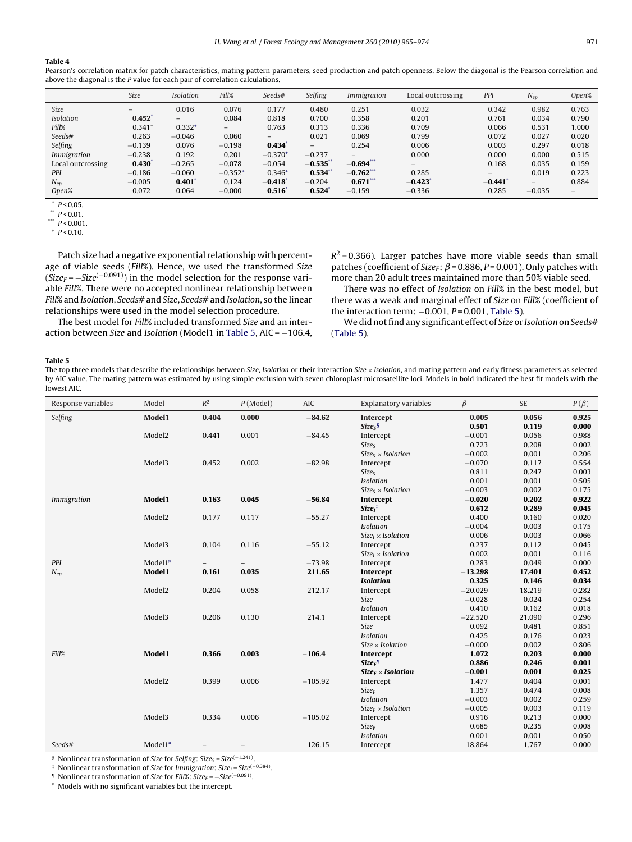## <span id="page-6-0"></span>**Table 4**

Pearson's correlation matrix for patch characteristics, mating pattern parameters, seed production and patch openness. Below the diagonal is the Pearson correlation and above the diagonal is the P value for each pair of correlation calculations.

|                   | Size                     | <b>Isolation</b> | Fill%             | Seeds#       | Selfing           | Immigration | Local outcrossing | PPI      | $N_{ep}$ | Open% |
|-------------------|--------------------------|------------------|-------------------|--------------|-------------------|-------------|-------------------|----------|----------|-------|
| <b>Size</b>       | $\overline{\phantom{a}}$ | 0.016            | 0.076             | 0.177        | 0.480             | 0.251       | 0.032             | 0.342    | 0.982    | 0.763 |
| <b>Isolation</b>  | 0.452                    | -                | 0.084             | 0.818        | 0.700             | 0.358       | 0.201             | 0.761    | 0.034    | 0.790 |
| Fill%             | $0.341$ <sup>+</sup>     | $0.332^{+}$      | $\qquad \qquad -$ | 0.763        | 0.313             | 0.336       | 0.709             | 0.066    | 0.531    | 1.000 |
| Seeds#            | 0.263                    | $-0.046$         | 0.060             | $-$          | 0.021             | 0.069       | 0.799             | 0.072    | 0.027    | 0.020 |
| Selfing           | $-0.139$                 | 0.076            | $-0.198$          | 0.434        | $\qquad \qquad -$ | 0.254       | 0.006             | 0.003    | 0.297    | 0.018 |
| Immigration       | $-0.238$                 | 0.192            | 0.201             | $-0.370^{+}$ | $-0.237$          | $-$         | 0.000             | 0.000    | 0.000    | 0.515 |
| Local outcrossing | 0.430                    | $-0.265$         | $-0.078$          | $-0.054$     | $-0.535^{*}$      | $-0.694***$ | -                 | 0.168    | 0.035    | 0.159 |
| PPI               | $-0.186$                 | $-0.060$         | $-0.352^{+}$      | $0.346^{+}$  | 0.534             | $-0.762***$ | 0.285             | $-$      | 0.019    | 0.223 |
| $N_{ep}$          | $-0.005$                 | 0.401            | 0.124             | $-0.418$     | $-0.204$          | $0.671***$  | $-0.423$          | $-0.441$ | $-$      | 0.884 |
| Open%             | 0.072                    | 0.064            | $-0.000$          | 0.516        | 0.524             | $-0.159$    | $-0.336$          | 0.285    | $-0.035$ | $-$   |

 $*$  P < 0.05.

\*\*  $P < 0.01$ .

 $P < 0.001$ 

 $+ P < 0.10.$ 

Patch size had a negative exponential relationship with percentage of viable seeds (Fill%). Hence, we used the transformed Size  $(Size_F = -Size^{(-0.091)})$  in the model selection for the response variable Fill%. There were no accepted nonlinear relationship between Fill% and Isolation, Seeds# and Size, Seeds# and Isolation, so the linear relationships were used in the model selection procedure.

The best model for Fill% included transformed Size and an interaction between Size and Isolation (Model1 in Table 5, AIC = −106.4,  $R^2$  = 0.366). Larger patches have more viable seeds than small patches (coefficient of Size<sub>F</sub>:  $\beta$  = 0.886, P = 0.001). Only patches with more than 20 adult trees maintained more than 50% viable seed.

There was no effect of Isolation on Fill% in the best model, but there was a weak and marginal effect of Size on Fill% (coefficient of the interaction term:  $-0.001$ ,  $P = 0.001$ , Table 5).

We did not find any significant effect of Size or Isolation on Seeds# (Table 5).

#### **Table 5**

The top three models that describe the relationships between Size, Isolation or their interaction Size × Isolation, and mating pattern and early fitness parameters as selected by AIC value. The mating pattern was estimated by using simple exclusion with seven chloroplast microsatellite loci. Models in bold indicated the best fit models with the lowest AIC.

| Response variables | Model              | $R^2$                    | $P$ (Model) | AIC       | Explanatory variables     | $\beta$   | <b>SE</b> | $P(\beta)$ |
|--------------------|--------------------|--------------------------|-------------|-----------|---------------------------|-----------|-----------|------------|
| Selfing            | Model1             | 0.404                    | 0.000       | $-84.62$  | Intercept                 | 0.005     | 0.056     | 0.925      |
|                    |                    |                          |             |           | $Sizes$ <sup>§</sup>      | 0.501     | 0.119     | 0.000      |
|                    | Model <sub>2</sub> | 0.441                    | 0.001       | $-84.45$  | Intercept                 | $-0.001$  | 0.056     | 0.988      |
|                    |                    |                          |             |           | <b>Sizes</b>              | 0.723     | 0.208     | 0.002      |
|                    |                    |                          |             |           | $SizeS \times Isolation$  | $-0.002$  | 0.001     | 0.206      |
|                    | Model3             | 0.452                    | 0.002       | $-82.98$  | Intercept                 | $-0.070$  | 0.117     | 0.554      |
|                    |                    |                          |             |           | Size <sub>S</sub>         | 0.811     | 0.247     | 0.003      |
|                    |                    |                          |             |           | Isolation                 | 0.001     | 0.001     | 0.505      |
|                    |                    |                          |             |           | $Size_s \times Isolation$ | $-0.003$  | 0.002     | 0.175      |
| <i>Immigration</i> | Model1             | 0.163                    | 0.045       | $-56.84$  | Intercept                 | $-0.020$  | 0.202     | 0.922      |
|                    |                    |                          |             |           | $SizeI$ <sup>‡</sup>      | 0.612     | 0.289     | 0.045      |
|                    | Model <sub>2</sub> | 0.177                    | 0.117       | $-55.27$  | Intercept                 | 0.400     | 0.160     | 0.020      |
|                    |                    |                          |             |           | Isolation                 | $-0.004$  | 0.003     | 0.175      |
|                    |                    |                          |             |           | $SizeI \times Isolation$  | 0.006     | 0.003     | 0.066      |
|                    | Model3             | 0.104                    | 0.116       | $-55.12$  | Intercept                 | 0.237     | 0.112     | 0.045      |
|                    |                    |                          |             |           | $SizeI \times Isolation$  | 0.002     | 0.001     | 0.116      |
| PPI                | Model $1^{\alpha}$ | $\overline{\phantom{a}}$ |             | $-73.98$  | Intercept                 | 0.283     | 0.049     | 0.000      |
| $N_{ep}$           | Model1             | 0.161                    | 0.035       | 211.65    | Intercept                 | $-13.298$ | 17.401    | 0.452      |
|                    |                    |                          |             |           | <b>Isolation</b>          | 0.325     | 0.146     | 0.034      |
|                    | Model <sub>2</sub> | 0.204                    | 0.058       | 212.17    | Intercept                 | $-20.029$ | 18.219    | 0.282      |
|                    |                    |                          |             |           | <b>Size</b>               | $-0.028$  | 0.024     | 0.254      |
|                    |                    |                          |             |           | Isolation                 | 0.410     | 0.162     | 0.018      |
|                    | Model3             | 0.206                    | 0.130       | 214.1     | Intercept                 | $-22.520$ | 21.090    | 0.296      |
|                    |                    |                          |             |           | Size                      | 0.092     | 0.481     | 0.851      |
|                    |                    |                          |             |           | <b>Isolation</b>          | 0.425     | 0.176     | 0.023      |
|                    |                    |                          |             |           | $Size \times Isolation$   | $-0.000$  | 0.002     | 0.806      |
| Fill%              | Model1             | 0.366                    | 0.003       | $-106.4$  | Intercept                 | 1.072     | 0.203     | 0.000      |
|                    |                    |                          |             |           | $Size_F$ <sup>1</sup>     | 0.886     | 0.246     | 0.001      |
|                    |                    |                          |             |           | $Size_F \times Isolation$ | $-0.001$  | 0.001     | 0.025      |
|                    | Model <sub>2</sub> | 0.399                    | 0.006       | $-105.92$ | Intercept                 | 1.477     | 0.404     | 0.001      |
|                    |                    |                          |             |           | <b>Size</b> <sub>F</sub>  | 1.357     | 0.474     | 0.008      |
|                    |                    |                          |             |           | Isolation                 | $-0.003$  | 0.002     | 0.259      |
|                    |                    |                          |             |           | $Size_F \times Isolation$ | $-0.005$  | 0.003     | 0.119      |
|                    | Model3             | 0.334                    | 0.006       | $-105.02$ | Intercept                 | 0.916     | 0.213     | 0.000      |
|                    |                    |                          |             |           | $Size_F$                  | 0.685     | 0.235     | 0.008      |
|                    |                    |                          |             |           | Isolation                 | 0.001     | 0.001     | 0.050      |
| Seeds#             | Model $1^{\alpha}$ |                          |             | 126.15    | Intercept                 | 18.864    | 1.767     | 0.000      |

§ Nonlinear transformation of Size for Selfing: Size<sub>S</sub> = Size<sup> $(-1.241)$ </sup>.<br>‡ Nonlinear transformation of Size for *Immigration: Size* = Size<sup> $(-1.241)$ </sup>.

Nonlinear transformation of Size for Immigration: Size<sub>I</sub> = Size<sup> $(-0.384)$ </sup>.

¶ Nonlinear transformation of Size for Fill%: Size<sub>F</sub> =  $-Size^{(-0.091)}$ .<br><sup>¤</sup> Models with no significant variables but the intercept.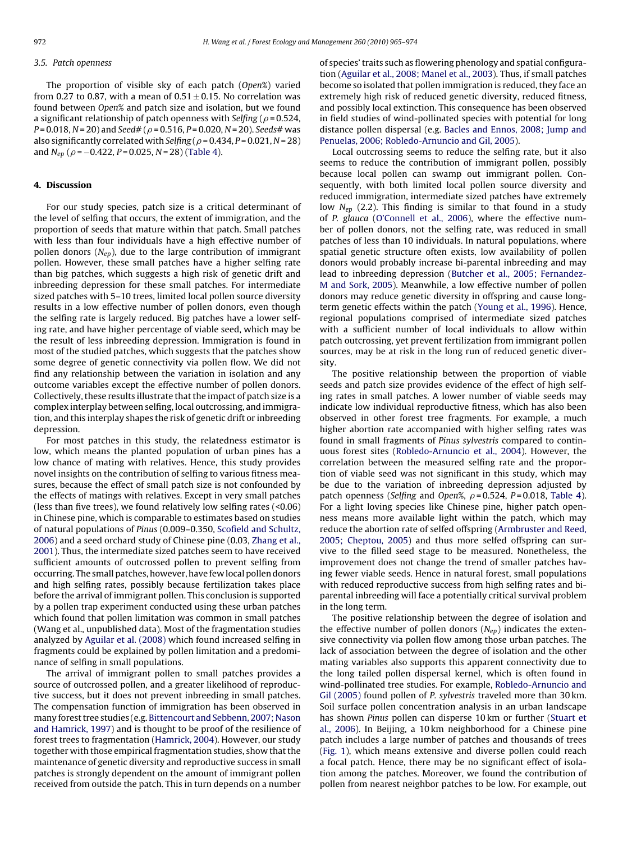## 3.5. Patch openness

The proportion of visible sky of each patch (Open%) varied from 0.27 to 0.87, with a mean of  $0.51 \pm 0.15$ . No correlation was found between Open% and patch size and isolation, but we found a significant relationship of patch openness with Selfing (  $\rho$  = 0.524, P= 0.018, N = 20) and Seed# (  $\rho$  = 0.516, P = 0.020, N = 20). Seeds# was also significantly correlated with Selfing (  $\rho$  = 0.434, P = 0.021, N = 28) and  $N_{ep}$  ( $\rho$  =  $-0.422$ ,  $P$  = 0.025, N = 28) ([Table 4\).](#page-6-0)

## **4. Discussion**

For our study species, patch size is a critical determinant of the level of selfing that occurs, the extent of immigration, and the proportion of seeds that mature within that patch. Small patches with less than four individuals have a high effective number of pollen donors  $(N_{en})$ , due to the large contribution of immigrant pollen. However, these small patches have a higher selfing rate than big patches, which suggests a high risk of genetic drift and inbreeding depression for these small patches. For intermediate sized patches with 5–10 trees, limited local pollen source diversity results in a low effective number of pollen donors, even though the selfing rate is largely reduced. Big patches have a lower selfing rate, and have higher percentage of viable seed, which may be the result of less inbreeding depression. Immigration is found in most of the studied patches, which suggests that the patches show some degree of genetic connectivity via pollen flow. We did not find any relationship between the variation in isolation and any outcome variables except the effective number of pollen donors. Collectively, these results illustrate that the impact of patch size is a complex interplay between selfing, local outcrossing, and immigration, and this interplay shapes the risk of genetic drift or inbreeding depression.

For most patches in this study, the relatedness estimator is low, which means the planted population of urban pines has a low chance of mating with relatives. Hence, this study provides novel insights on the contribution of selfing to various fitness measures, because the effect of small patch size is not confounded by the effects of matings with relatives. Except in very small patches (less than five trees), we found relatively low selfing rates (<0.06) in Chinese pine, which is comparable to estimates based on studies of natural populations of Pinus (0.009–0.350, [Scofield and Schultz,](#page-9-0) [2006\)](#page-9-0) and a seed orchard study of Chinese pine (0.03, [Zhang et al.,](#page-9-0) [2001\).](#page-9-0) Thus, the intermediate sized patches seem to have received sufficient amounts of outcrossed pollen to prevent selfing from occurring. The small patches, however, have few local pollen donors and high selfing rates, possibly because fertilization takes place before the arrival of immigrant pollen. This conclusion is supported by a pollen trap experiment conducted using these urban patches which found that pollen limitation was common in small patches (Wang et al., unpublished data). Most of the fragmentation studies analyzed by [Aguilar et al. \(2008\)](#page-8-0) which found increased selfing in fragments could be explained by pollen limitation and a predominance of selfing in small populations.

The arrival of immigrant pollen to small patches provides a source of outcrossed pollen, and a greater likelihood of reproductive success, but it does not prevent inbreeding in small patches. The compensation function of immigration has been observed in many forest tree studies (e.g. [Bittencourt and Sebbenn, 2007; Nason](#page-8-0) [and Hamrick, 1997\)](#page-8-0) and is thought to be proof of the resilience of forest trees to fragmentation [\(Hamrick, 2004\).](#page-8-0) However, our study together with those empirical fragmentation studies, show that the maintenance of genetic diversity and reproductive success in small patches is strongly dependent on the amount of immigrant pollen received from outside the patch. This in turn depends on a number

of species' traits such as flowering phenology and spatial configuration ([Aguilar et al., 2008; Manel et al., 2003\).](#page-8-0) Thus, if small patches become so isolated that pollen immigration is reduced, they face an extremely high risk of reduced genetic diversity, reduced fitness, and possibly local extinction. This consequence has been observed in field studies of wind-pollinated species with potential for long distance pollen dispersal (e.g. [Bacles and Ennos, 2008; Jump and](#page-8-0) [Penuelas, 2006; Robledo-Arnuncio and Gil, 2005\).](#page-8-0)

Local outcrossing seems to reduce the selfing rate, but it also seems to reduce the contribution of immigrant pollen, possibly because local pollen can swamp out immigrant pollen. Consequently, with both limited local pollen source diversity and reduced immigration, intermediate sized patches have extremely low  $N_{ep}$  (2.2). This finding is similar to that found in a study of P. glauca ([O'Connell et al., 2006\),](#page-9-0) where the effective number of pollen donors, not the selfing rate, was reduced in small patches of less than 10 individuals. In natural populations, where spatial genetic structure often exists, low availability of pollen donors would probably increase bi-parental inbreeding and may lead to inbreeding depression ([Butcher et al., 2005; Fernandez-](#page-8-0)M [and Sork, 2005\).](#page-8-0) Meanwhile, a low effective number of pollen donors may reduce genetic diversity in offspring and cause longterm genetic effects within the patch [\(Young et al., 1996\).](#page-9-0) Hence, regional populations comprised of intermediate sized patches with a sufficient number of local individuals to allow within patch outcrossing, yet prevent fertilization from immigrant pollen sources, may be at risk in the long run of reduced genetic diversity.

The positive relationship between the proportion of viable seeds and patch size provides evidence of the effect of high selfing rates in small patches. A lower number of viable seeds may indicate low individual reproductive fitness, which has also been observed in other forest tree fragments. For example, a much higher abortion rate accompanied with higher selfing rates was found in small fragments of Pinus sylvestris compared to continuous forest sites [\(Robledo-Arnuncio et al., 2004\).](#page-9-0) However, the correlation between the measured selfing rate and the proportion of viable seed was not significant in this study, which may be due to the variation of inbreeding depression adjusted by patch openness (Selfing and Open%,  $\rho$  = 0.524, P = 0.018, [Table 4\).](#page-6-0) For a light loving species like Chinese pine, higher patch openness means more available light within the patch, which may reduce the abortion rate of selfed offspring ([Armbruster and Reed,](#page-8-0) [2005; Cheptou, 2005\)](#page-8-0) and thus more selfed offspring can survive to the filled seed stage to be measured. Nonetheless, the improvement does not change the trend of smaller patches having fewer viable seeds. Hence in natural forest, small populations with reduced reproductive success from high selfing rates and biparental inbreeding will face a potentially critical survival problem in the long term.

The positive relationship between the degree of isolation and the effective number of pollen donors  $(N_{ep})$  indicates the extensive connectivity via pollen flow among those urban patches. The lack of association between the degree of isolation and the other mating variables also supports this apparent connectivity due to the long tailed pollen dispersal kernel, which is often found in wind-pollinated tree studies. For example, [Robledo-Arnuncio and](#page-9-0) [Gil \(2005\)](#page-9-0) found pollen of P. sylvestris traveled more than 30 km. Soil surface pollen concentration analysis in an urban landscape has shown Pinus pollen can disperse 10 km or further [\(Stuart et](#page-9-0) [al., 2006\).](#page-9-0) In Beijing, a 10 km neighborhood for a Chinese pine patch includes a large number of patches and thousands of trees [\(Fig. 1\)](#page-2-0), which means extensive and diverse pollen could reach a focal patch. Hence, there may be no significant effect of isolation among the patches. Moreover, we found the contribution of pollen from nearest neighbor patches to be low. For example, out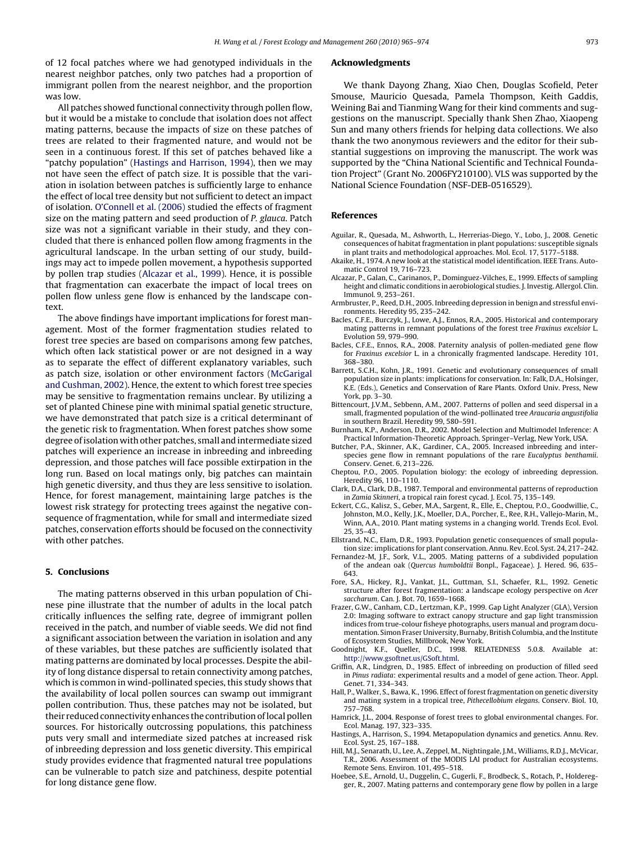<span id="page-8-0"></span>of 12 focal patches where we had genotyped individuals in the nearest neighbor patches, only two patches had a proportion of immigrant pollen from the nearest neighbor, and the proportion was low.

All patches showed functional connectivity through pollen flow, but it would be a mistake to conclude that isolation does not affect mating patterns, because the impacts of size on these patches of trees are related to their fragmented nature, and would not be seen in a continuous forest. If this set of patches behaved like a "patchy population" (Hastings and Harrison, 1994), then we may not have seen the effect of patch size. It is possible that the variation in isolation between patches is sufficiently large to enhance the effect of local tree density but not sufficient to detect an impact of isolation. [O'Connell et al. \(2006\)](#page-9-0) studied the effects of fragment size on the mating pattern and seed production of P. glauca. Patch size was not a significant variable in their study, and they concluded that there is enhanced pollen flow among fragments in the agricultural landscape. In the urban setting of our study, buildings may act to impede pollen movement, a hypothesis supported by pollen trap studies (Alcazar et al., 1999). Hence, it is possible that fragmentation can exacerbate the impact of local trees on pollen flow unless gene flow is enhanced by the landscape context.

The above findings have important implications for forest management. Most of the former fragmentation studies related to forest tree species are based on comparisons among few patches, which often lack statistical power or are not designed in a way as to separate the effect of different explanatory variables, such as patch size, isolation or other environment factors [\(McGarigal](#page-9-0) [and Cushman, 2002\).](#page-9-0) Hence, the extent to which forest tree species may be sensitive to fragmentation remains unclear. By utilizing a set of planted Chinese pine with minimal spatial genetic structure, we have demonstrated that patch size is a critical determinant of the genetic risk to fragmentation. When forest patches show some degree of isolation with other patches, small and intermediate sized patches will experience an increase in inbreeding and inbreeding depression, and those patches will face possible extirpation in the long run. Based on local matings only, big patches can maintain high genetic diversity, and thus they are less sensitive to isolation. Hence, for forest management, maintaining large patches is the lowest risk strategy for protecting trees against the negative consequence of fragmentation, while for small and intermediate sized patches, conservation efforts should be focused on the connectivity with other patches.

## **5. Conclusions**

The mating patterns observed in this urban population of Chinese pine illustrate that the number of adults in the local patch critically influences the selfing rate, degree of immigrant pollen received in the patch, and number of viable seeds. We did not find a significant association between the variation in isolation and any of these variables, but these patches are sufficiently isolated that mating patterns are dominated by local processes. Despite the ability of long distance dispersal to retain connectivity among patches, which is common in wind-pollinated species, this study shows that the availability of local pollen sources can swamp out immigrant pollen contribution. Thus, these patches may not be isolated, but their reduced connectivity enhances the contribution of local pollen sources. For historically outcrossing populations, this patchiness puts very small and intermediate sized patches at increased risk of inbreeding depression and loss genetic diversity. This empirical study provides evidence that fragmented natural tree populations can be vulnerable to patch size and patchiness, despite potential for long distance gene flow.

#### **Acknowledgments**

We thank Dayong Zhang, Xiao Chen, Douglas Scofield, Peter Smouse, Mauricio Quesada, Pamela Thompson, Keith Gaddis, Weining Bai and Tianming Wang for their kind comments and suggestions on the manuscript. Specially thank Shen Zhao, Xiaopeng Sun and many others friends for helping data collections. We also thank the two anonymous reviewers and the editor for their substantial suggestions on improving the manuscript. The work was supported by the "China National Scientific and Technical Foundation Project" (Grant No. 2006FY210100). VLS was supported by the National Science Foundation (NSF-DEB-0516529).

## **References**

- Aguilar, R., Quesada, M., Ashworth, L., Herrerias-Diego, Y., Lobo, J., 2008. Genetic consequences of habitat fragmentation in plant populations: susceptible signals in plant traits and methodological approaches. Mol. Ecol. 17, 5177–5188.
- Akaike, H., 1974. A new look at the statistical model identification. IEEE Trans. Automatic Control 19, 716–723.
- Alcazar, P., Galan, C., Carinanos, P., Dominguez-Vilches, E., 1999. Effects of sampling height and climatic conditions in aerobiological studies. J. Investig. Allergol. Clin. Immunol. 9, 253–261.
- Armbruster, P., Reed, D.H., 2005. Inbreeding depression in benign and stressful environments. Heredity 95, 235–242.
- Bacles, C.F.E., Burczyk, J., Lowe, A.J., Ennos, R.A., 2005. Historical and contemporary mating patterns in remnant populations of the forest tree Fraxinus excelsior L. Evolution 59, 979–990.
- Bacles, C.F.E., Ennos, R.A., 2008. Paternity analysis of pollen-mediated gene flow for Fraxinus excelsior L. in a chronically fragmented landscape. Heredity 101, 368–380.
- Barrett, S.C.H., Kohn, J.R., 1991. Genetic and evolutionary consequences of small population size in plants: implications for conservation. In: Falk, D.A., Holsinger, K.E. (Eds.), Genetics and Conservation of Rare Plants. Oxford Univ. Press, New York, pp. 3–30.
- Bittencourt, J.V.M., Sebbenn, A.M., 2007. Patterns of pollen and seed dispersal in a small, fragmented population of the wind-pollinated tree Araucaria angustifolia in southern Brazil. Heredity 99, 580–591.
- Burnham, K.P., Anderson, D.R., 2002. Model Selection and Multimodel Inference: A Practical Information-Theoretic Approach. Springer–Verlag, New York, USA.
- Butcher, P.A., Skinner, A.K., Gardiner, C.A., 2005. Increased inbreeding and interspecies gene flow in remnant populations of the rare Eucalyptus benthamii. Conserv. Genet. 6, 213–226.
- Cheptou, P.O., 2005. Population biology: the ecology of inbreeding depression. Heredity 96, 110–1110.
- Clark, D.A., Clark, D.B., 1987. Temporal and environmental patterns of reproduction in Zamia Skinneri, a tropical rain forest cycad. J. Ecol. 75, 135–149.
- Eckert, C.G., Kalisz, S., Geber, M.A., Sargent, R., Elle, E., Cheptou, P.O., Goodwillie, C., Johnston, M.O., Kelly, J.K., Moeller, D.A., Porcher, E., Ree, R.H., Vallejo-Marin, M., Winn, A.A., 2010. Plant mating systems in a changing world. Trends Ecol. Evol. 25, 35–43.
- Ellstrand, N.C., Elam, D.R., 1993. Population genetic consequences of small population size: implications for plant conservation. Annu. Rev. Ecol. Syst. 24, 217–242.
- Fernandez-M, J.F., Sork, V.L., 2005. Mating patterns of a subdivided population of the andean oak (Quercus humboldtii Bonpl., Fagaceae). J. Hered. 96, 635– 643.
- Fore, S.A., Hickey, R.J., Vankat, J.L., Guttman, S.I., Schaefer, R.L., 1992. Genetic structure after forest fragmentation: a landscape ecology perspective on Acer saccharum. Can. J. Bot. 70, 1659–1668.
- Frazer, G.W., Canham, C.D., Lertzman, K.P., 1999. Gap Light Analyzer (GLA), Version 2.0: Imaging software to extract canopy structure and gap light transmission indices from true-colour fisheye photographs, users manual and program documentation. Simon Fraser University, Burnaby, British Columbia, and the Institute of Ecosystem Studies, Millbrook, New York.<br>Motight K. F. Queller D.C. 1998 RELATEDNESS 5.0.8 Available at:
- Goodnight, K.F., Queller, D.C., 1998. <http://www.gsoftnet.us/GSoft.html>.
- Griffin, A.R., Lindgren, D., 1985. Effect of inbreeding on production of filled seed in Pinus radiata: experimental results and a model of gene action. Theor. Appl. Genet. 71, 334–343.
- Hall, P., Walker, S., Bawa, K., 1996. Effect of forest fragmentation on genetic diversity and mating system in a tropical tree, Pithecellobium elegans. Conserv. Biol. 10, 757–768.
- Hamrick, J.L., 2004. Response of forest trees to global environmental changes. For. Ecol. Manag. 197, 323–335.
- Hastings, A., Harrison, S., 1994. Metapopulation dynamics and genetics. Annu. Rev. Ecol. Syst. 25, 167–188.
- Hill, M.J., Senarath, U., Lee, A., Zeppel, M., Nightingale, J.M., Williams, R.D.J., McVicar, T.R., 2006. Assessment of the MODIS LAI product for Australian ecosystems. Remote Sens. Environ. 101, 495–518.
- Hoebee, S.E., Arnold, U., Duggelin, C., Gugerli, F., Brodbeck, S., Rotach, P., Holderegger, R., 2007. Mating patterns and contemporary gene flow by pollen in a large